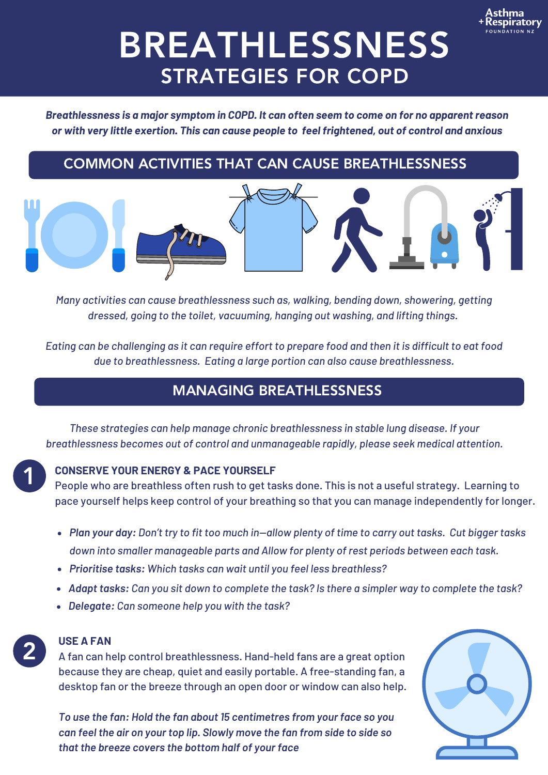

# BREATHLESSNESS STRATEGIES FOR COPD

*Breathlessness is a major symptom in COPD. It can often seem to come on for no apparent reason or with very little exertion. This can cause people to feel frightened, out of control and anxious*

# COMMON ACTIVITIES THAT CAN CAUSE BREATHLESSNESS





*Many activities can cause breathlessness such as, walking, bending down, showering, getting dressed, going to the toilet, vacuuming, hanging out washing, and lifting things.*

Eating can be challenging as it can require effort to prepare food and then it is difficult to eat food *due to breathlessness. Eating a large portion can also cause breathlessness.*

# MANAGING BREATHLESSNESS

*These strategies can help manage chronic breathlessness in stable lung disease. If your breathlessness becomes out of control and unmanageable rapidly, please seek medical attention.*

# 1

## **CONSERVE YOUR ENERGY & PACE YOURSELF**

People who are breathless often rush to get tasks done. This is not a useful strategy. Learning to pace yourself helps keep control of your breathing so that you can manage independently for longer.

- Plan your day: Don't try to fit too much in-allow plenty of time to carry out tasks. Cut bigger tasks *down into smaller manageable parts and Allow for plenty of rest periods between each task.*
- *Prioritise tasks: Which tasks can wait until you feel less breathless?*
- Adapt tasks: Can you sit down to complete the task? Is there a simpler way to complete the task?
- *Delegate: Can someone help you with the task?*



# **USE A FAN**

A fan can help control breathlessness. Hand-held fans are a great option because they are cheap, quiet and easily portable. A free-standing fan, a desktop fan or the breeze through an open door or window can also help.

*To use the fan: Hold the fan about 15 centimetres from your face so you can feel the air on your top lip. Slowly move the fan from side to side so that the breeze covers the bottom half of your face*

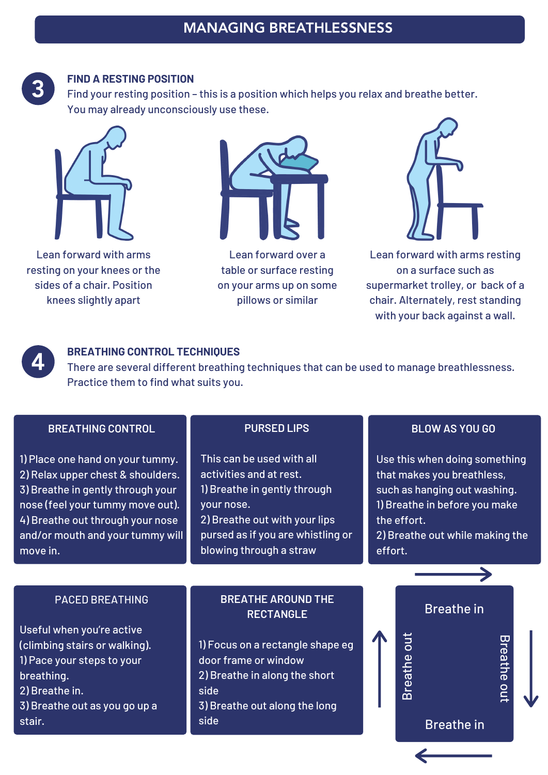

### **FIND A RESTING POSITION**

Find your resting position – this is a position which helps you relax and breathe better. You may already unconsciously use these.



Lean forward with arms resting on your knees or the sides of a chair. Position knees slightly apart



Lean forward over a table or surface resting on your arms up on some pillows or similar



Lean forward with arms resting on a surface such as supermarket trolley, or back of a chair. Alternately, rest standing with your back against a wall.



## **BREATHING CONTROL TECHNIQUES**

There are several different breathing techniques that can be used to manage breathlessness. Practice them to find what suits you.

#### **BREATHING CONTROL**

1) Place one hand on your tummy. 2) Relax upper chest & shoulders. 3) Breathe in gently through your nose (feel your tummy move out). 4) Breathe out through your nose and/or mouth and your tummy will move in.

#### **PURSED LIPS**

This can be used with all activities and at rest. 1) Breathe in gently through your nose. 2) Breathe out with your lips pursed as if you are whistling or blowing through a straw

#### **BLOW AS YOU GO**

Use this when doing something that makes you breathless, such as hanging out washing. 1) Breathe in before you make the effort.

2) Breathe out while making the effort.

#### PACED BREATHING

Useful when you're active (climbing stairs or walking). 1) Pace your steps to your breathing. 2) Breathe in. 3) Breathe out as you go up a stair.

## **BREATHE AROUND THE RECTANGLE**

1) Focus on a rectangle shape eg door frame or window 2) Breathe in along the short side 3) Breathe out along the long side



መ<br>ወ

ath e

o  $\Xi$